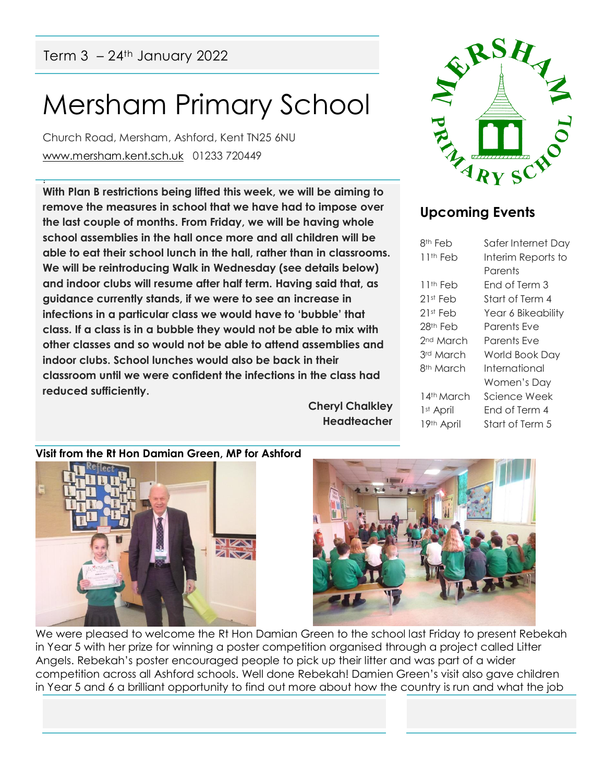Term  $3 - 24$ <sup>th</sup> January 2022

!

# Mersham Primary School

Church Road, Mersham, Ashford, Kent TN25 6NU [www.mersham.kent.sch.uk](http://www.mersham.kent.sch.uk/) 01233 720449

**With Plan B restrictions being lifted this week, we will be aiming to remove the measures in school that we have had to impose over the last couple of months. From Friday, we will be having whole school assemblies in the hall once more and all children will be able to eat their school lunch in the hall, rather than in classrooms. We will be reintroducing Walk in Wednesday (see details below) and indoor clubs will resume after half term. Having said that, as guidance currently stands, if we were to see an increase in infections in a particular class we would have to 'bubble' that class. If a class is in a bubble they would not be able to mix with other classes and so would not be able to attend assemblies and indoor clubs. School lunches would also be back in their classroom until we were confident the infections in the class had reduced sufficiently.**

> **Cheryl Chalkley Headteacher**



### **Upcoming Events**

| 8th Feb                | Safer Internet Day |
|------------------------|--------------------|
| 11th Feb               | Interim Reports to |
|                        | Parents            |
| 11 <sup>th</sup> Feb   | Fnd of Term 3      |
| 21st Feb               | Start of Term 4    |
| 21st Feb               | Year 6 Bikeability |
| 28th Feb               | Parents Fve        |
| 2 <sup>nd</sup> March  | Parents Fve        |
| 3rd March              | World Book Day     |
| 8th March              | International      |
|                        | Women's Day        |
| 14th March             | Science Week       |
| 1 <sup>st</sup> April  | Fnd of Term 4      |
| 19 <sup>th</sup> April | Start of Term 5    |
|                        |                    |

**Visit from the Rt Hon Damian Green, MP for Ashford**





We were pleased to welcome the Rt Hon Damian Green to the school last Friday to present Rebekah in Year 5 with her prize for winning a poster competition organised through a project called Litter Angels. Rebekah's poster encouraged people to pick up their litter and was part of a wider competition across all Ashford schools. Well done Rebekah! Damien Green's visit also gave children in Year 5 and 6 a brilliant opportunity to find out more about how the country is run and what the job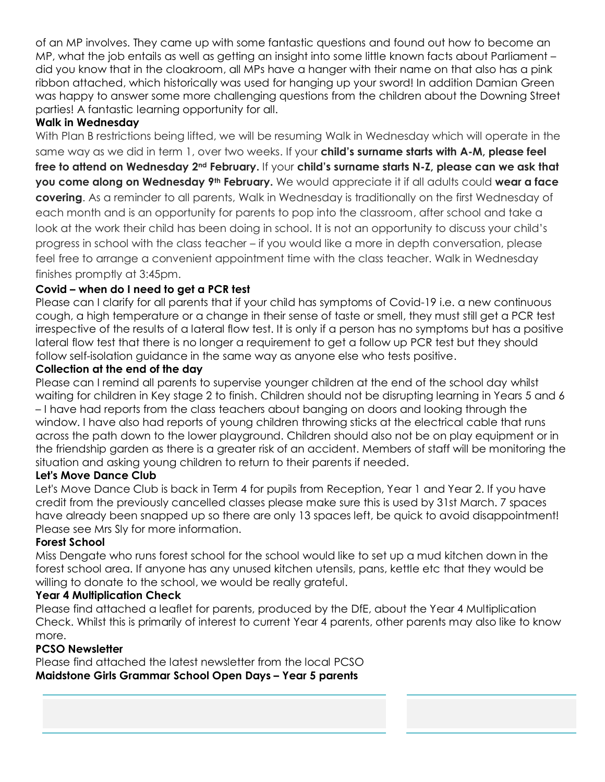of an MP involves. They came up with some fantastic questions and found out how to become an MP, what the job entails as well as getting an insight into some little known facts about Parliament – did you know that in the cloakroom, all MPs have a hanger with their name on that also has a pink ribbon attached, which historically was used for hanging up your sword! In addition Damian Green was happy to answer some more challenging questions from the children about the Downing Street parties! A fantastic learning opportunity for all.

#### **Walk in Wednesday**

With Plan B restrictions being lifted, we will be resuming Walk in Wednesday which will operate in the same way as we did in term 1, over two weeks. If your **child's surname starts with A-M, please feel**   ${\bf f}$  free to attend on Wednesday 2nd **February.** If your **child's surname starts N-Z, please can we ask that you come along on Wednesday 9th February.** We would appreciate it if all adults could **wear a face covering**. As a reminder to all parents, Walk in Wednesday is traditionally on the first Wednesday of each month and is an opportunity for parents to pop into the classroom, after school and take a look at the work their child has been doing in school. It is not an opportunity to discuss your child's progress in school with the class teacher – if you would like a more in depth conversation, please feel free to arrange a convenient appointment time with the class teacher. Walk in Wednesday finishes promptly at 3:45pm.

#### **Covid – when do I need to get a PCR test**

Please can I clarify for all parents that if your child has symptoms of Covid-19 i.e. a new continuous cough, a high temperature or a change in their sense of taste or smell, they must still get a PCR test irrespective of the results of a lateral flow test. It is only if a person has no symptoms but has a positive lateral flow test that there is no longer a requirement to get a follow up PCR test but they should follow self-isolation guidance in the same way as anyone else who tests positive.

#### **Collection at the end of the day**

Please can I remind all parents to supervise younger children at the end of the school day whilst waiting for children in Key stage 2 to finish. Children should not be disrupting learning in Years 5 and 6 – I have had reports from the class teachers about banging on doors and looking through the window. I have also had reports of young children throwing sticks at the electrical cable that runs across the path down to the lower playground. Children should also not be on play equipment or in the friendship garden as there is a greater risk of an accident. Members of staff will be monitoring the situation and asking young children to return to their parents if needed.

#### **Let's Move Dance Club**

Let's Move Dance Club is back in Term 4 for pupils from Reception, Year 1 and Year 2. If you have credit from the previously cancelled classes please make sure this is used by 31st March. 7 spaces have already been snapped up so there are only 13 spaces left, be quick to avoid disappointment! Please see Mrs Sly for more information.

#### **Forest School**

Miss Dengate who runs forest school for the school would like to set up a mud kitchen down in the forest school area. If anyone has any unused kitchen utensils, pans, kettle etc that they would be willing to donate to the school, we would be really grateful.

#### **Year 4 Multiplication Check**

Please find attached a leaflet for parents, produced by the DfE, about the Year 4 Multiplication Check. Whilst this is primarily of interest to current Year 4 parents, other parents may also like to know more.

#### **PCSO Newsletter**

Please find attached the latest newsletter from the local PCSO **Maidstone Girls Grammar School Open Days – Year 5 parents**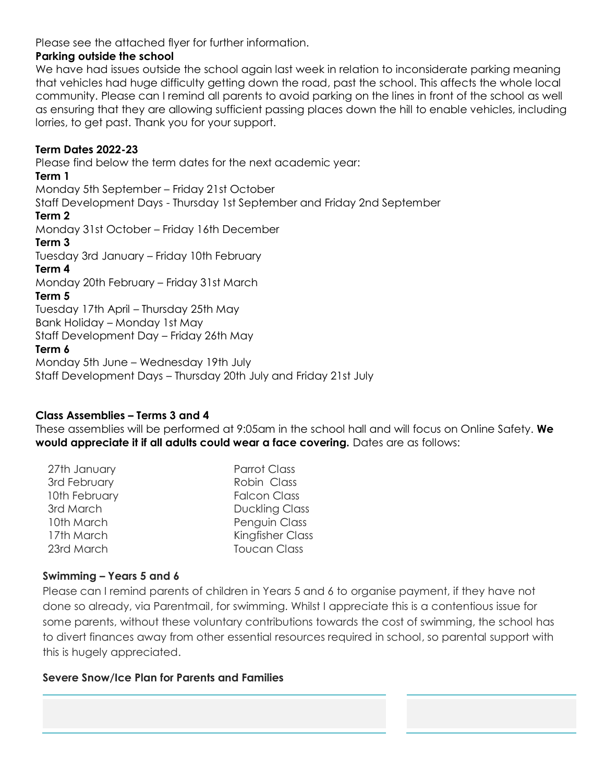Please see the attached flyer for further information.

#### **Parking outside the school**

We have had issues outside the school again last week in relation to inconsiderate parking meaning that vehicles had huge difficulty getting down the road, past the school. This affects the whole local community. Please can I remind all parents to avoid parking on the lines in front of the school as well as ensuring that they are allowing sufficient passing places down the hill to enable vehicles, including lorries, to get past. Thank you for your support.

#### **Term Dates 2022-23**

Please find below the term dates for the next academic year: **Term 1**  Monday 5th September – Friday 21st October Staff Development Days - Thursday 1st September and Friday 2nd September **Term 2**  Monday 31st October – Friday 16th December **Term 3** Tuesday 3rd January – Friday 10th February **Term 4** Monday 20th February – Friday 31st March **Term 5** Tuesday 17th April – Thursday 25th May Bank Holiday – Monday 1st May Staff Development Day – Friday 26th May **Term 6** Monday 5th June – Wednesday 19th July Staff Development Days – Thursday 20th July and Friday 21st July

#### **Class Assemblies – Terms 3 and 4**

These assemblies will be performed at 9:05am in the school hall and will focus on Online Safety. **We would appreciate it if all adults could wear a face covering.** Dates are as follows:

| 27th January  | <b>Parrot Class</b>     |
|---------------|-------------------------|
| 3rd February  | Robin Class             |
| 10th February | <b>Falcon Class</b>     |
| 3rd March     | <b>Duckling Class</b>   |
| 10th March    | Penguin Class           |
| 17th March    | <b>Kingfisher Class</b> |
| 23rd March    | <b>Toucan Class</b>     |

#### **Swimming – Years 5 and 6**

Please can I remind parents of children in Years 5 and 6 to organise payment, if they have not done so already, via Parentmail, for swimming. Whilst I appreciate this is a contentious issue for some parents, without these voluntary contributions towards the cost of swimming, the school has to divert finances away from other essential resources required in school, so parental support with this is hugely appreciated.

#### **Severe Snow/Ice Plan for Parents and Families**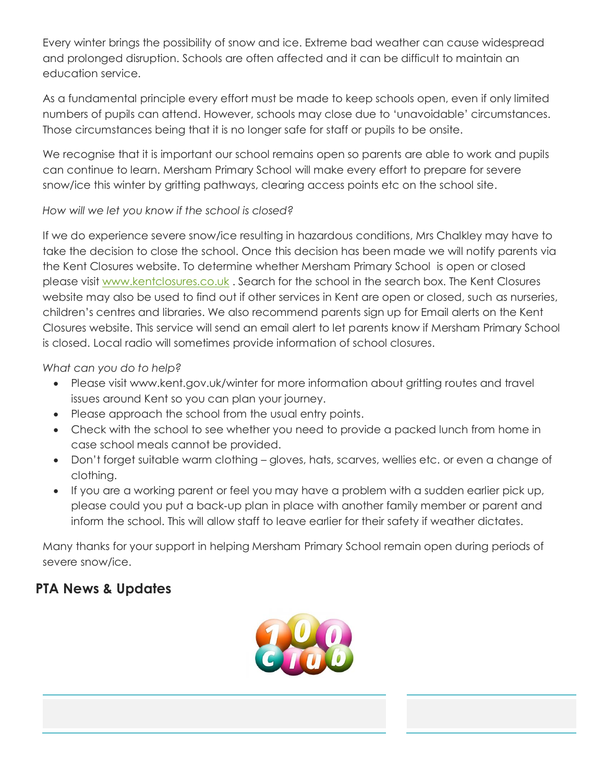Every winter brings the possibility of snow and ice. Extreme bad weather can cause widespread and prolonged disruption. Schools are often affected and it can be difficult to maintain an education service.

As a fundamental principle every effort must be made to keep schools open, even if only limited numbers of pupils can attend. However, schools may close due to 'unavoidable' circumstances. Those circumstances being that it is no longer safe for staff or pupils to be onsite.

We recognise that it is important our school remains open so parents are able to work and pupils can continue to learn. Mersham Primary School will make every effort to prepare for severe snow/ice this winter by gritting pathways, clearing access points etc on the school site.

#### *How will we let you know if the school is closed?*

If we do experience severe snow/ice resulting in hazardous conditions, Mrs Chalkley may have to take the decision to close the school. Once this decision has been made we will notify parents via the Kent Closures website. To determine whether Mersham Primary School is open or closed please visit [www.kentclosures.co.uk](http://www.kentclosures.co.uk/). Search for the school in the search box. The Kent Closures website may also be used to find out if other services in Kent are open or closed, such as nurseries, children's centres and libraries. We also recommend parents sign up for Email alerts on the Kent Closures website. This service will send an email alert to let parents know if Mersham Primary School is closed. Local radio will sometimes provide information of school closures.

#### *What can you do to help?*

- Please visit www.kent.gov.uk/winter for more information about gritting routes and travel issues around Kent so you can plan your journey.
- Please approach the school from the usual entry points.
- Check with the school to see whether you need to provide a packed lunch from home in case school meals cannot be provided.
- Don't forget suitable warm clothing gloves, hats, scarves, wellies etc. or even a change of clothing.
- If you are a working parent or feel you may have a problem with a sudden earlier pick up, please could you put a back‐up plan in place with another family member or parent and inform the school. This will allow staff to leave earlier for their safety if weather dictates.

Many thanks for your support in helping Mersham Primary School remain open during periods of severe snow/ice.

## **PTA News & Updates**